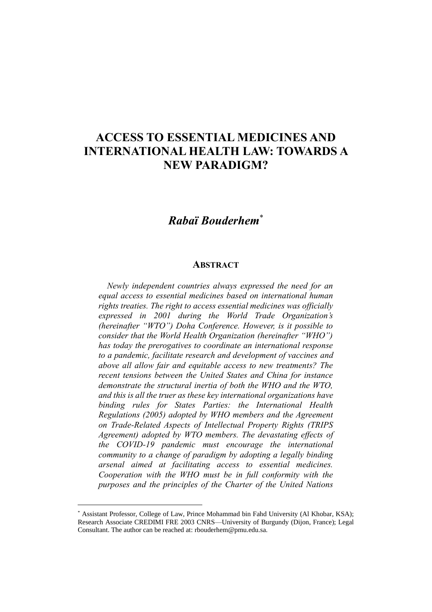## **ACCESS TO ESSENTIAL MEDICINES AND INTERNATIONAL HEALTH LAW: TOWARDS A NEW PARADIGM?**

## *Rabaï Bouderhem*\*

## **ABSTRACT**

*Newly independent countries always expressed the need for an equal access to essential medicines based on international human rights treaties. The right to access essential medicines was officially expressed in 2001 during the World Trade Organization's (hereinafter "WTO") Doha Conference. However, is it possible to consider that the World Health Organization (hereinafter "WHO") has today the prerogatives to coordinate an international response to a pandemic, facilitate research and development of vaccines and above all allow fair and equitable access to new treatments? The recent tensions between the United States and China for instance demonstrate the structural inertia of both the WHO and the WTO, and this is all the truer as these key international organizations have binding rules for States Parties: the International Health Regulations (2005) adopted by WHO members and the Agreement on Trade-Related Aspects of Intellectual Property Rights (TRIPS Agreement) adopted by WTO members. The devastating effects of the COVID-19 pandemic must encourage the international community to a change of paradigm by adopting a legally binding arsenal aimed at facilitating access to essential medicines. Cooperation with the WHO must be in full conformity with the purposes and the principles of the Charter of the United Nations* 

<sup>\*</sup> Assistant Professor, College of Law, Prince Mohammad bin Fahd University (Al Khobar, KSA); Research Associate CREDIMI FRE 2003 CNRS—University of Burgundy (Dijon, France); Legal Consultant. The author can be reached at: rbouderhem@pmu.edu.sa.